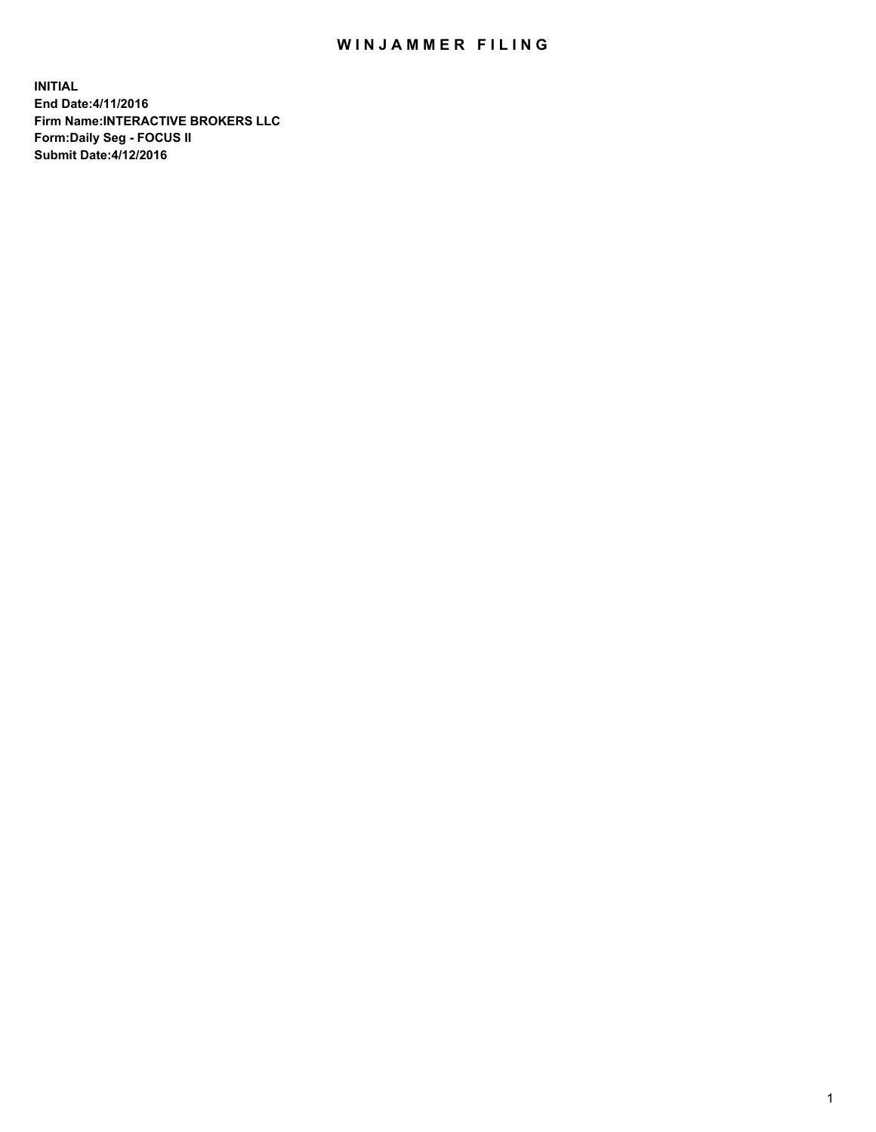## WIN JAMMER FILING

**INITIAL End Date:4/11/2016 Firm Name:INTERACTIVE BROKERS LLC Form:Daily Seg - FOCUS II Submit Date:4/12/2016**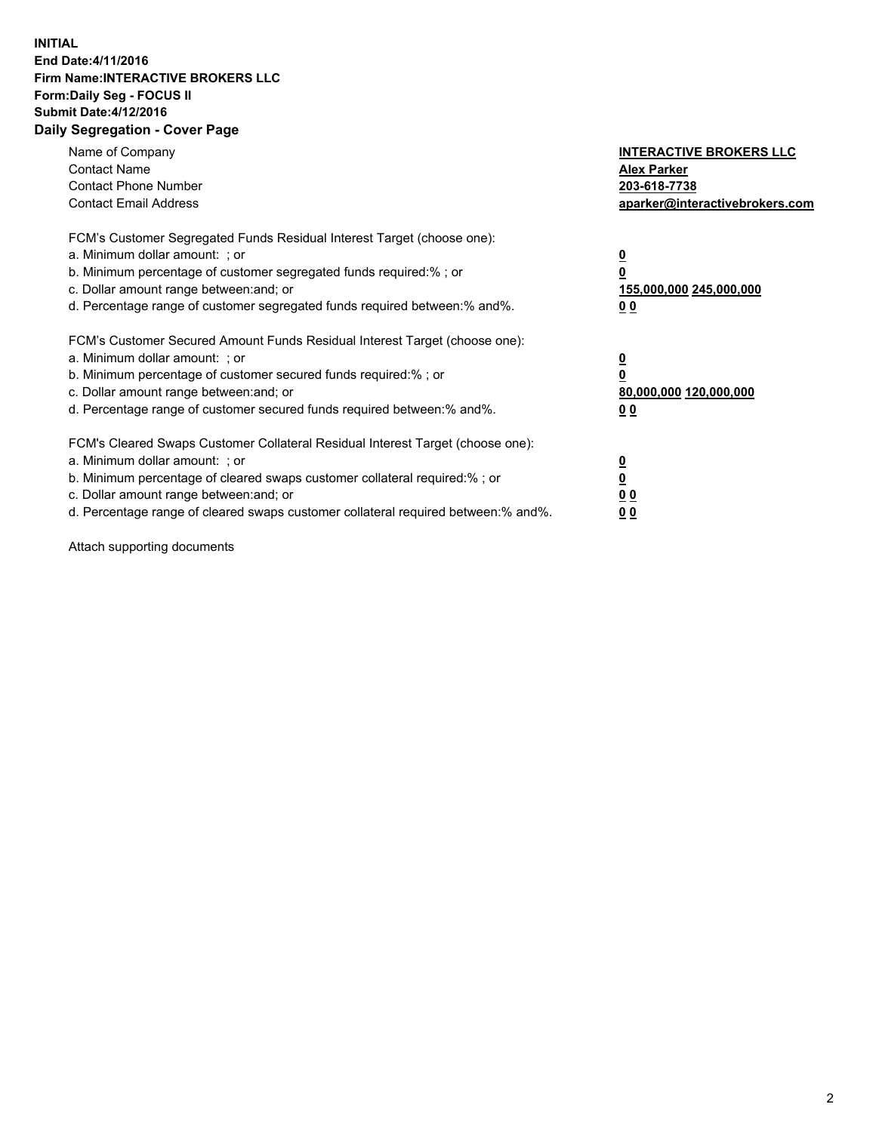## **INITIAL End Date:4/11/2016 Firm Name:INTERACTIVE BROKERS LLC Form:Daily Seg - FOCUS II Submit Date:4/12/2016 Daily Segregation - Cover Page**

| Name of Company<br><b>Contact Name</b><br><b>Contact Phone Number</b><br><b>Contact Email Address</b>                                                                                                                                                                                                                          | <b>INTERACTIVE BROKERS LLC</b><br><b>Alex Parker</b><br>203-618-7738<br>aparker@interactivebrokers.com |
|--------------------------------------------------------------------------------------------------------------------------------------------------------------------------------------------------------------------------------------------------------------------------------------------------------------------------------|--------------------------------------------------------------------------------------------------------|
| FCM's Customer Segregated Funds Residual Interest Target (choose one):<br>a. Minimum dollar amount: ; or<br>b. Minimum percentage of customer segregated funds required:%; or<br>c. Dollar amount range between: and; or<br>d. Percentage range of customer segregated funds required between:% and%.                          | <u>0</u><br>155,000,000 245,000,000<br><u>00</u>                                                       |
| FCM's Customer Secured Amount Funds Residual Interest Target (choose one):<br>a. Minimum dollar amount: ; or<br>b. Minimum percentage of customer secured funds required:%; or<br>c. Dollar amount range between: and; or<br>d. Percentage range of customer secured funds required between:% and%.                            | <u>0</u><br>80,000,000 120,000,000<br><u>00</u>                                                        |
| FCM's Cleared Swaps Customer Collateral Residual Interest Target (choose one):<br>a. Minimum dollar amount: ; or<br>b. Minimum percentage of cleared swaps customer collateral required:% ; or<br>c. Dollar amount range between: and; or<br>d. Percentage range of cleared swaps customer collateral required between:% and%. | <u>0</u><br>0 <sub>0</sub><br>0 <sub>0</sub>                                                           |

Attach supporting documents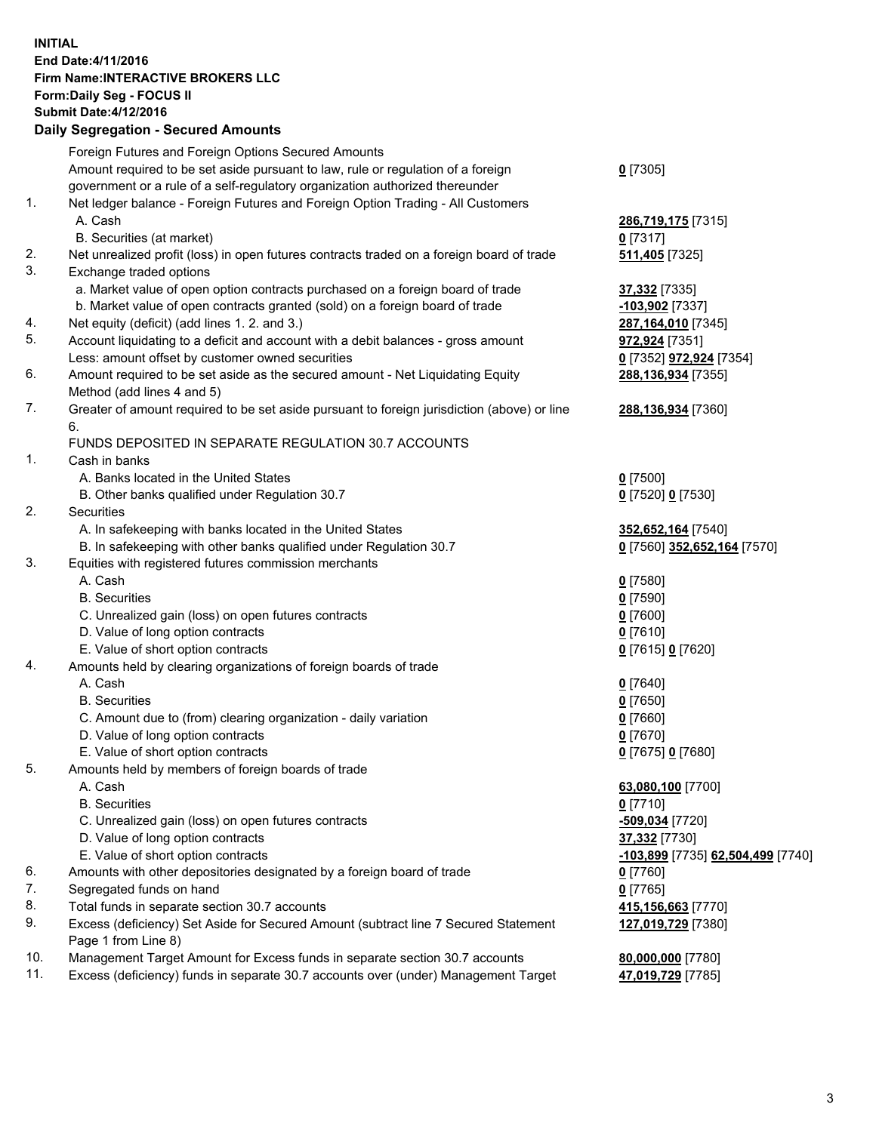## **INITIAL End Date:4/11/2016 Firm Name:INTERACTIVE BROKERS LLC Form:Daily Seg - FOCUS II Submit Date:4/12/2016 Daily Segregation - Secured Amounts**

|                | Daily Jegregation - Jeculed Aniounts                                                        |                                   |
|----------------|---------------------------------------------------------------------------------------------|-----------------------------------|
|                | Foreign Futures and Foreign Options Secured Amounts                                         |                                   |
|                | Amount required to be set aside pursuant to law, rule or regulation of a foreign            | $0$ [7305]                        |
|                | government or a rule of a self-regulatory organization authorized thereunder                |                                   |
| 1.             | Net ledger balance - Foreign Futures and Foreign Option Trading - All Customers             |                                   |
|                | A. Cash                                                                                     | 286,719,175 [7315]                |
|                | B. Securities (at market)                                                                   | $0$ [7317]                        |
| 2.             | Net unrealized profit (loss) in open futures contracts traded on a foreign board of trade   | 511,405 [7325]                    |
| 3.             | Exchange traded options                                                                     |                                   |
|                | a. Market value of open option contracts purchased on a foreign board of trade              | 37,332 [7335]                     |
|                | b. Market value of open contracts granted (sold) on a foreign board of trade                | -103,902 <sup>[7337]</sup>        |
| 4.             | Net equity (deficit) (add lines 1. 2. and 3.)                                               | 287,164,010 [7345]                |
| 5.             | Account liquidating to a deficit and account with a debit balances - gross amount           | 972,924 [7351]                    |
|                | Less: amount offset by customer owned securities                                            | 0 [7352] 972,924 [7354]           |
| 6.             | Amount required to be set aside as the secured amount - Net Liquidating Equity              | 288,136,934 [7355]                |
|                | Method (add lines 4 and 5)                                                                  |                                   |
| 7.             | Greater of amount required to be set aside pursuant to foreign jurisdiction (above) or line | 288,136,934 [7360]                |
|                | 6.                                                                                          |                                   |
|                | FUNDS DEPOSITED IN SEPARATE REGULATION 30.7 ACCOUNTS                                        |                                   |
| $\mathbf{1}$ . | Cash in banks                                                                               |                                   |
|                | A. Banks located in the United States                                                       | $0$ [7500]                        |
|                | B. Other banks qualified under Regulation 30.7                                              | 0 [7520] 0 [7530]                 |
| 2.             | Securities                                                                                  |                                   |
|                | A. In safekeeping with banks located in the United States                                   | 352,652,164 [7540]                |
|                | B. In safekeeping with other banks qualified under Regulation 30.7                          | 0 [7560] 352,652,164 [7570]       |
| 3.             | Equities with registered futures commission merchants                                       |                                   |
|                | A. Cash                                                                                     | $0$ [7580]                        |
|                | <b>B.</b> Securities                                                                        | $0$ [7590]                        |
|                | C. Unrealized gain (loss) on open futures contracts                                         | $0$ [7600]                        |
|                | D. Value of long option contracts                                                           | $0$ [7610]                        |
|                | E. Value of short option contracts                                                          | 0 [7615] 0 [7620]                 |
| 4.             | Amounts held by clearing organizations of foreign boards of trade                           |                                   |
|                | A. Cash                                                                                     | $0$ [7640]                        |
|                | <b>B.</b> Securities                                                                        | $0$ [7650]                        |
|                | C. Amount due to (from) clearing organization - daily variation                             | $0$ [7660]                        |
|                | D. Value of long option contracts                                                           | $0$ [7670]                        |
|                | E. Value of short option contracts                                                          | 0 [7675] 0 [7680]                 |
| 5.             | Amounts held by members of foreign boards of trade                                          |                                   |
|                | A. Cash                                                                                     | 63,080,100 [7700]                 |
|                | <b>B.</b> Securities                                                                        | $0$ [7710]                        |
|                | C. Unrealized gain (loss) on open futures contracts                                         | -509,034 [7720]                   |
|                | D. Value of long option contracts                                                           | 37,332 [7730]                     |
|                | E. Value of short option contracts                                                          | -103,899 [7735] 62,504,499 [7740] |
| 6.             | Amounts with other depositories designated by a foreign board of trade                      | $0$ [7760]                        |
| 7.             | Segregated funds on hand                                                                    | $0$ [7765]                        |
| 8.             | Total funds in separate section 30.7 accounts                                               | 415,156,663 [7770]                |
| 9.             | Excess (deficiency) Set Aside for Secured Amount (subtract line 7 Secured Statement         | 127,019,729 [7380]                |
|                | Page 1 from Line 8)                                                                         |                                   |
| 10.            | Management Target Amount for Excess funds in separate section 30.7 accounts                 | 80,000,000 [7780]                 |
| 11.            | Excess (deficiency) funds in separate 30.7 accounts over (under) Management Target          | 47,019,729 [7785]                 |
|                |                                                                                             |                                   |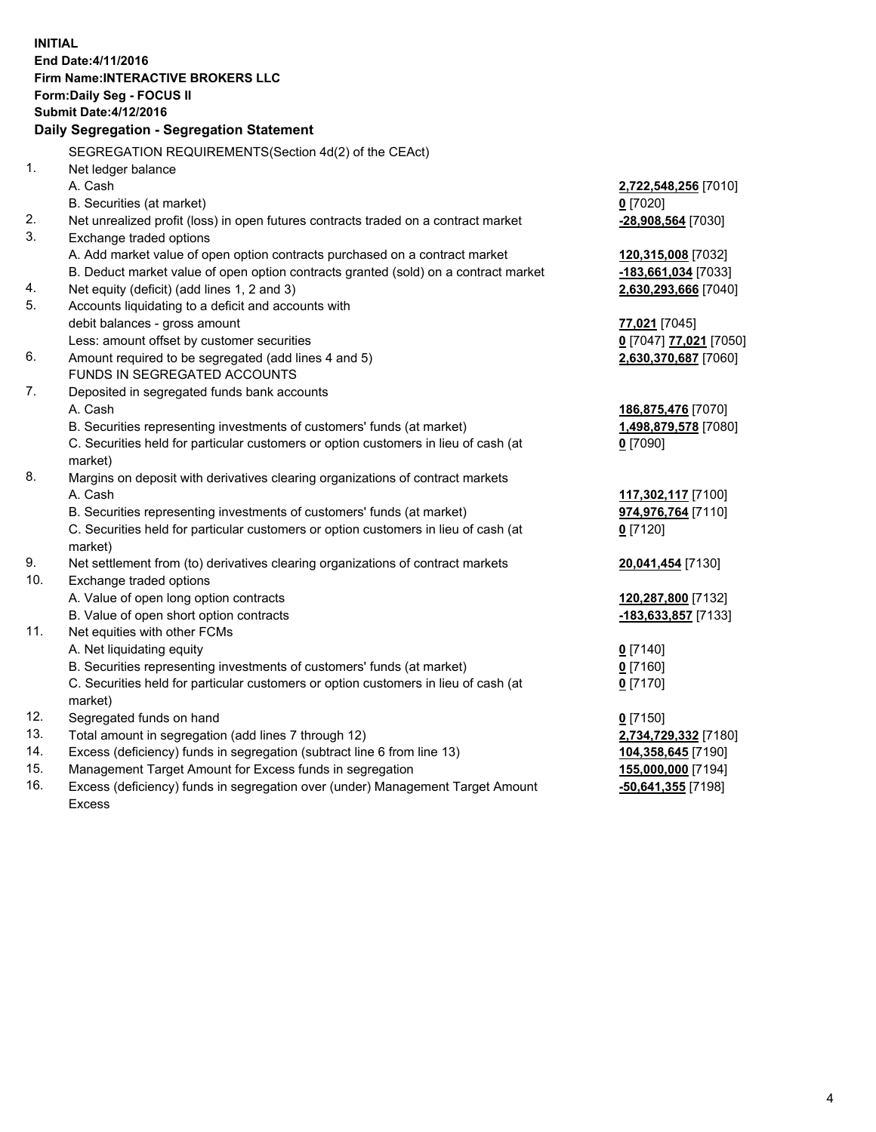**INITIAL End Date:4/11/2016 Firm Name:INTERACTIVE BROKERS LLC Form:Daily Seg - FOCUS II Submit Date:4/12/2016 Daily Segregation - Segregation Statement** SEGREGATION REQUIREMENTS(Section 4d(2) of the CEAct) 1. Net ledger balance A. Cash **2,722,548,256** [7010] B. Securities (at market) **0** [7020] 2. Net unrealized profit (loss) in open futures contracts traded on a contract market **-28,908,564** [7030] 3. Exchange traded options A. Add market value of open option contracts purchased on a contract market **120,315,008** [7032] B. Deduct market value of open option contracts granted (sold) on a contract market **-183,661,034** [7033] 4. Net equity (deficit) (add lines 1, 2 and 3) **2,630,293,666** [7040] 5. Accounts liquidating to a deficit and accounts with debit balances - gross amount **77,021** [7045] Less: amount offset by customer securities **0** [7047] **77,021** [7050] 6. Amount required to be segregated (add lines 4 and 5) **2,630,370,687** [7060] FUNDS IN SEGREGATED ACCOUNTS 7. Deposited in segregated funds bank accounts A. Cash **186,875,476** [7070] B. Securities representing investments of customers' funds (at market) **1,498,879,578** [7080] C. Securities held for particular customers or option customers in lieu of cash (at market) **0** [7090] 8. Margins on deposit with derivatives clearing organizations of contract markets A. Cash **117,302,117** [7100] B. Securities representing investments of customers' funds (at market) **974,976,764** [7110] C. Securities held for particular customers or option customers in lieu of cash (at market) **0** [7120] 9. Net settlement from (to) derivatives clearing organizations of contract markets **20,041,454** [7130] 10. Exchange traded options A. Value of open long option contracts **120,287,800** [7132] B. Value of open short option contracts **-183,633,857** [7133] 11. Net equities with other FCMs A. Net liquidating equity **0** [7140] B. Securities representing investments of customers' funds (at market) **0** [7160] C. Securities held for particular customers or option customers in lieu of cash (at market) **0** [7170] 12. Segregated funds on hand **0** [7150] 13. Total amount in segregation (add lines 7 through 12) **2,734,729,332** [7180] 14. Excess (deficiency) funds in segregation (subtract line 6 from line 13) **104,358,645** [7190] 15. Management Target Amount for Excess funds in segregation **155,000,000** [7194] 16. Excess (deficiency) funds in segregation over (under) Management Target Amount Excess **-50,641,355** [7198]